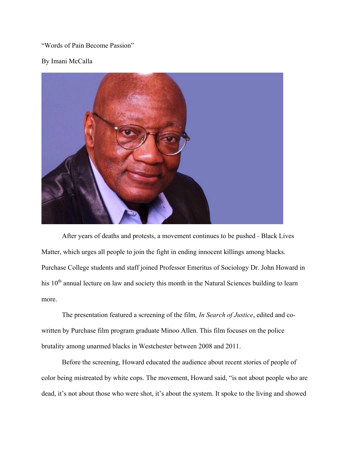"Words of Pain Become Passion"

## By Imani McCalla



After years of deaths and protests, a movement continues to be pushed - Black Lives Matter, which urges all people to join the fight in ending innocent killings among blacks. Purchase College students and staff joined Professor Emeritus of Sociology Dr. John Howard in his  $10<sup>th</sup>$  annual lecture on law and society this month in the Natural Sciences building to learn more.

The presentation featured a screening of the film*, In Search of Justice*, edited and cowritten by Purchase film program graduate Minoo Allen. This film focuses on the police brutality among unarmed blacks in Westchester between 2008 and 2011.

Before the screening, Howard educated the audience about recent stories of people of color being mistreated by white cops. The movement, Howard said, "is not about people who are dead, it's not about those who were shot, it's about the system. It spoke to the living and showed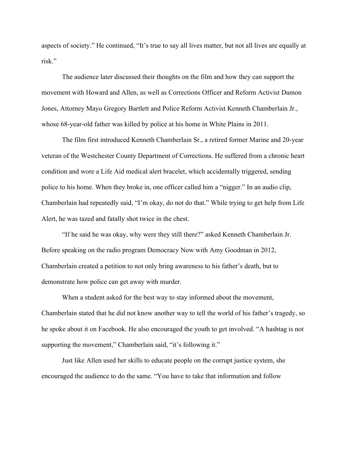aspects of society." He continued, "It's true to say all lives matter, but not all lives are equally at risk."

The audience later discussed their thoughts on the film and how they can support the movement with Howard and Allen, as well as Corrections Officer and Reform Activist Damon Jones, Attorney Mayo Gregory Bartlett and Police Reform Activist Kenneth Chamberlain Jr., whose 68-year-old father was killed by police at his home in White Plains in 2011.

The film first introduced Kenneth Chamberlain Sr., a retired former Marine and 20-year veteran of the Westchester County Department of Corrections. He suffered from a chronic heart condition and wore a Life Aid medical alert bracelet, which accidentally triggered, sending police to his home. When they broke in, one officer called him a "nigger." In an audio clip, Chamberlain had repeatedly said, "I'm okay, do not do that." While trying to get help from Life Alert, he was tazed and fatally shot twice in the chest.

"If he said he was okay, why were they still there?" asked Kenneth Chamberlain Jr. Before speaking on the radio program Democracy Now with Amy Goodman in 2012, Chamberlain created a petition to not only bring awareness to his father's death, but to demonstrate how police can get away with murder.

When a student asked for the best way to stay informed about the movement, Chamberlain stated that he did not know another way to tell the world of his father's tragedy, so he spoke about it on Facebook. He also encouraged the youth to get involved. "A hashtag is not supporting the movement," Chamberlain said, "it's following it."

Just like Allen used her skills to educate people on the corrupt justice system, she encouraged the audience to do the same. "You have to take that information and follow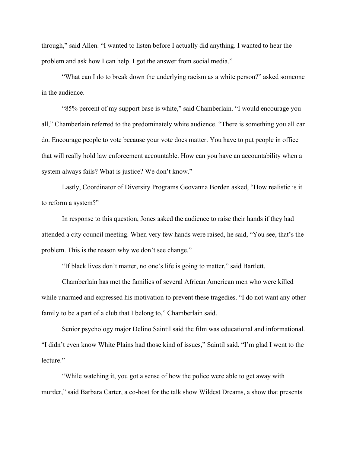through," said Allen. "I wanted to listen before I actually did anything. I wanted to hear the problem and ask how I can help. I got the answer from social media."

"What can I do to break down the underlying racism as a white person?" asked someone in the audience.

"85% percent of my support base is white," said Chamberlain. "I would encourage you all," Chamberlain referred to the predominately white audience. "There is something you all can do. Encourage people to vote because your vote does matter. You have to put people in office that will really hold law enforcement accountable. How can you have an accountability when a system always fails? What is justice? We don't know."

Lastly, Coordinator of Diversity Programs Geovanna Borden asked, "How realistic is it to reform a system?"

In response to this question, Jones asked the audience to raise their hands if they had attended a city council meeting. When very few hands were raised, he said, "You see, that's the problem. This is the reason why we don't see change."

"If black lives don't matter, no one's life is going to matter," said Bartlett.

Chamberlain has met the families of several African American men who were killed while unarmed and expressed his motivation to prevent these tragedies. "I do not want any other family to be a part of a club that I belong to," Chamberlain said.

Senior psychology major Delino Saintil said the film was educational and informational. "I didn't even know White Plains had those kind of issues," Saintil said. "I'm glad I went to the lecture."

"While watching it, you got a sense of how the police were able to get away with murder," said Barbara Carter, a co-host for the talk show Wildest Dreams, a show that presents